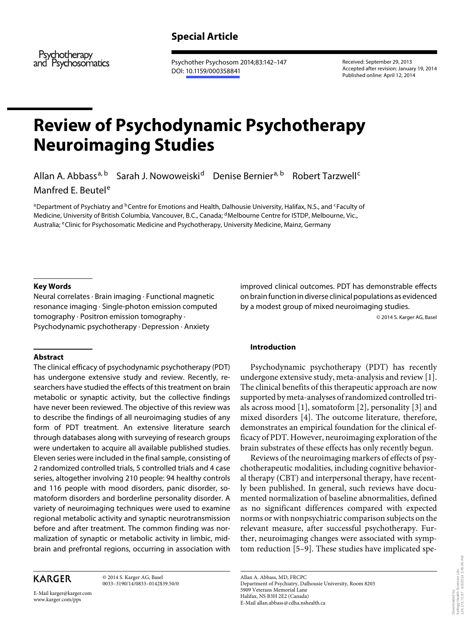## **Special Article**

Psychotherapy and Psychosomatics

 Psychother Psychosom 2014;83:142–147 DOI: [10.1159/000358841](http://dx.doi.org/10.1159%2F000358841)

 Received: September 29, 2013 Accepted after revision: January 19, 2014 Published online: April 12, 2014

# **Review of Psychodynamic Psychotherapy Neuroimaging Studies**

Allan A. Abbass<sup>a, b</sup> Sarah J. Nowoweiski<sup>d</sup> Denise Bernier<sup>a, b</sup> Robert Tarzwell<sup>c</sup>

Manfred E. Beutel<sup>e</sup>

<sup>a</sup> Department of Psychiatry and <sup>b</sup> Centre for Emotions and Health, Dalhousie University, Halifax, N.S., and <sup>c</sup>Faculty of Medicine, University of British Columbia, Vancouver, B.C., Canada; <sup>d</sup>Melbourne Centre for ISTDP, Melbourne, Vic., Australia; <sup>e</sup> Clinic for Psychosomatic Medicine and Psychotherapy, University Medicine, Mainz, Germany

#### **Key Words**

 Neural correlates · Brain imaging · Functional magnetic resonance imaging · Single-photon emission computed tomography · Positron emission tomography · Psychodynamic psychotherapy · Depression · Anxiety

#### **Abstract**

 The clinical efficacy of psychodynamic psychotherapy (PDT) has undergone extensive study and review. Recently, researchers have studied the effects of this treatment on brain metabolic or synaptic activity, but the collective findings have never been reviewed. The objective of this review was to describe the findings of all neuroimaging studies of any form of PDT treatment. An extensive literature search through databases along with surveying of research groups were undertaken to acquire all available published studies. Eleven series were included in the final sample, consisting of 2 randomized controlled trials, 5 controlled trials and 4 case series, altogether involving 210 people: 94 healthy controls and 116 people with mood disorders, panic disorder, somatoform disorders and borderline personality disorder. A variety of neuroimaging techniques were used to examine regional metabolic activity and synaptic neurotransmission before and after treatment. The common finding was normalization of synaptic or metabolic activity in limbic, midbrain and prefrontal regions, occurring in association with

## **KARGER**

 © 2014 S. Karger AG, Basel 0033–3190/14/0833–0142\$39.50/0

E-Mail karger@karger.com www.karger.com/pps

improved clinical outcomes. PDT has demonstrable effects on brain function in diverse clinical populations as evidenced by a modest group of mixed neuroimaging studies.

© 2014 S. Karger AG, Basel

#### **Introduction**

 Psychodynamic psychotherapy (PDT) has recently undergone extensive study, meta-analysis and review [1] . The clinical benefits of this therapeutic approach are now supported by meta-analyses of randomized controlled trials across mood [1], somatoform [2], personality [3] and mixed disorders [4]. The outcome literature, therefore, demonstrates an empirical foundation for the clinical efficacy of PDT. However, neuroimaging exploration of the brain substrates of these effects has only recently begun.

 Reviews of the neuroimaging markers of effects of psychotherapeutic modalities, including cognitive behavioral therapy (CBT) and interpersonal therapy, have recently been published. In general, such reviews have documented normalization of baseline abnormalities, defined as no significant differences compared with expected norms or with nonpsychiatric comparison subjects on the relevant measure, after successful psychotherapy. Further, neuroimaging changes were associated with symptom reduction [5–9]. These studies have implicated spe-

 Allan A. Abbass, MD, FRCPC Department of Psychiatry, Dalhousie University, Room 8203 5909 Veterans Memorial Lane Halifax, NS B3H 2E2 (Canada) E-Mail allan.abbass @ cdha.nshealth.ca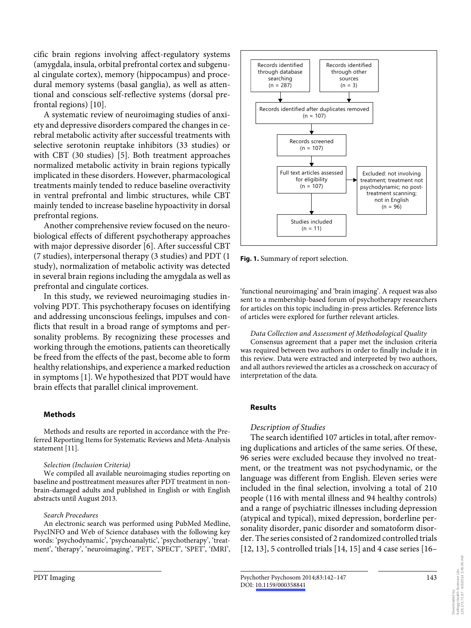cific brain regions involving affect-regulatory systems (amygdala, insula, orbital prefrontal cortex and subgenual cingulate cortex), memory (hippocampus) and procedural memory systems (basal ganglia), as well as attentional and conscious self-reflective systems (dorsal prefrontal regions) [10].

 A systematic review of neuroimaging studies of anxiety and depressive disorders compared the changes in cerebral metabolic activity after successful treatments with selective serotonin reuptake inhibitors (33 studies) or with CBT (30 studies) [5]. Both treatment approaches normalized metabolic activity in brain regions typically implicated in these disorders. However, pharmacological treatments mainly tended to reduce baseline overactivity in ventral prefrontal and limbic structures, while CBT mainly tended to increase baseline hypoactivity in dorsal prefrontal regions.

 Another comprehensive review focused on the neurobiological effects of different psychotherapy approaches with major depressive disorder [6]. After successful CBT (7 studies), interpersonal therapy (3 studies) and PDT (1 study), normalization of metabolic activity was detected in several brain regions including the amygdala as well as prefrontal and cingulate cortices.

 In this study, we reviewed neuroimaging studies involving PDT. This psychotherapy focuses on identifying and addressing unconscious feelings, impulses and conflicts that result in a broad range of symptoms and personality problems. By recognizing these processes and working through the emotions, patients can theoretically be freed from the effects of the past, become able to form healthy relationships, and experience a marked reduction in symptoms [1]. We hypothesized that PDT would have brain effects that parallel clinical improvement.

#### **Methods**

 Methods and results are reported in accordance with the Preferred Reporting Items for Systematic Reviews and Meta-Analysis statement [11].

#### *Selection (Inclusion Criteria)*

 We compiled all available neuroimaging studies reporting on baseline and posttreatment measures after PDT treatment in nonbrain-damaged adults and published in English or with English abstracts until August 2013.

#### *Search Procedures*

 An electronic search was performed using PubMed Medline, PsycINFO and Web of Science databases with the following key words: 'psychodynamic', 'psychoanalytic', 'psychotherapy', 'treatment', 'therapy', 'neuroimaging', 'PET', 'SPECT', 'SPET', 'fMRI',



**Fig. 1.** Summary of report selection.

'functional neuroimaging' and 'brain imaging'. A request was also sent to a membership-based forum of psychotherapy researchers for articles on this topic including in-press articles. Reference lists of articles were explored for further relevant articles.

#### *Data Collection and Assessment of Methodological Quality*

 Consensus agreement that a paper met the inclusion criteria was required between two authors in order to finally include it in this review. Data were extracted and interpreted by two authors, and all authors reviewed the articles as a crosscheck on accuracy of interpretation of the data.

#### **Results**

#### *Description of Studies*

 The search identified 107 articles in total, after removing duplications and articles of the same series. Of these, 96 series were excluded because they involved no treatment, or the treatment was not psychodynamic, or the language was different from English. Eleven series were included in the final selection, involving a total of 210 people (116 with mental illness and 94 healthy controls) and a range of psychiatric illnesses including depression (atypical and typical), mixed depression, borderline personality disorder, panic disorder and somatoform disorder. The series consisted of 2 randomized controlled trials [12, 13], 5 controlled trials [14, 15] and 4 case series [16–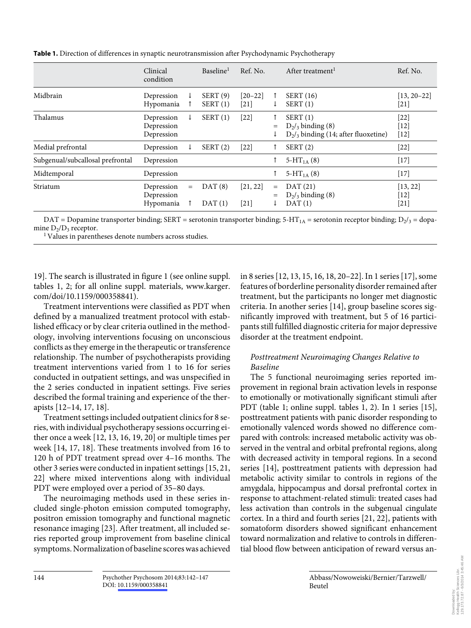|                                  | Clinical<br>condition                  |     | Baseline <sup>1</sup> | Ref. No.                       |     | After treatment <sup>1</sup>                                                          | Ref. No.                                       |
|----------------------------------|----------------------------------------|-----|-----------------------|--------------------------------|-----|---------------------------------------------------------------------------------------|------------------------------------------------|
| Midbrain                         | Depression<br>Hypomania                |     | SERT(9)<br>SERT(1)    | $[20-22]$<br>$\left[21\right]$ | ↓   | <b>SERT</b> (16)<br>SERT(1)                                                           | $[13, 20-22]$<br>$[21]$                        |
| Thalamus                         | Depression<br>Depression<br>Depression |     | SERT(1)               | $[22]$                         |     | SERT(1)<br>$D_2/3$ binding (8)<br>$D_2$ / <sub>3</sub> binding (14; after fluoxetine) | $[22]$<br>$\left\lceil 12\right\rceil$<br>[12] |
| Medial prefrontal                | Depression                             |     | SERT(2)               | $[22]$                         |     | SERT(2)                                                                               | $[22]$                                         |
| Subgenual/subcallosal prefrontal | Depression                             |     |                       |                                |     | 5-HT <sub>1A</sub> $(8)$                                                              | $[17]$                                         |
| Midtemporal                      | Depression                             |     |                       |                                |     | 5-HT <sub>1A</sub> $(8)$                                                              | [17]                                           |
| Striatum                         | Depression<br>Depression<br>Hypomania  | $=$ | DATA(8)<br>DATA(1)    | [21, 22]<br>$\left[21\right]$  | $=$ | DATA(21)<br>$D_2/3$ binding (8)<br>DATA(1)                                            | [13, 22]<br>$\lceil 12 \rceil$<br>$[21]$       |

DAT = Dopamine transporter binding; SERT = serotonin transporter binding;  $5-HT_{1A}$  = serotonin receptor binding;  $D_2/3$  = dopamine  $D_2/D_3$  receptor.

<sup>1</sup> Values in parentheses denote numbers across studies.

19] . The search is illustrated in figure 1 (see online suppl. tables 1, 2; for all online suppl. materials, www.karger. com/doi/10.1159/000358841).

 Treatment interventions were classified as PDT when defined by a manualized treatment protocol with established efficacy or by clear criteria outlined in the methodology, involving interventions focusing on unconscious conflicts as they emerge in the therapeutic or transference relationship. The number of psychotherapists providing treatment interventions varied from 1 to 16 for series conducted in outpatient settings, and was unspecified in the 2 series conducted in inpatient settings. Five series described the formal training and experience of the therapists [12–14, 17, 18] .

 Treatment settings included outpatient clinics for 8 series, with individual psychotherapy sessions occurring either once a week [12, 13, 16, 19, 20] or multiple times per week [14, 17, 18]. These treatments involved from 16 to 120 h of PDT treatment spread over 4–16 months. The other 3 series were conducted in inpatient settings [15, 21, 22] where mixed interventions along with individual PDT were employed over a period of 35–80 days.

 The neuroimaging methods used in these series included single-photon emission computed tomography, positron emission tomography and functional magnetic resonance imaging [23] . After treatment, all included series reported group improvement from baseline clinical symptoms. Normalization of baseline scores was achieved in 8 series [12, 13, 15, 16, 18, 20–22] . In 1 series [17] , some features of borderline personality disorder remained after treatment, but the participants no longer met diagnostic criteria. In another series [14], group baseline scores significantly improved with treatment, but 5 of 16 participants still fulfilled diagnostic criteria for major depressive disorder at the treatment endpoint.

## *Posttreatment Neuroimaging Changes Relative to Baseline*

 The 5 functional neuroimaging series reported improvement in regional brain activation levels in response to emotionally or motivationally significant stimuli after PDT (table 1; online suppl. tables 1, 2). In 1 series [15], posttreatment patients with panic disorder responding to emotionally valenced words showed no difference compared with controls: increased metabolic activity was observed in the ventral and orbital prefrontal regions, along with decreased activity in temporal regions. In a second series [14], posttreatment patients with depression had metabolic activity similar to controls in regions of the amygdala, hippocampus and dorsal prefrontal cortex in response to attachment-related stimuli: treated cases had less activation than controls in the subgenual cingulate cortex. In a third and fourth series [21, 22], patients with somatoform disorders showed significant enhancement toward normalization and relative to controls in differential blood flow between anticipation of reward versus an-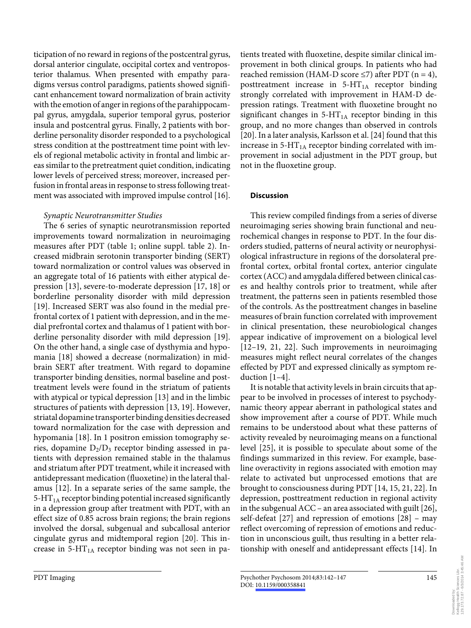ticipation of no reward in regions of the postcentral gyrus, dorsal anterior cingulate, occipital cortex and ventroposterior thalamus. When presented with empathy paradigms versus control paradigms, patients showed significant enhancement toward normalization of brain activity with the emotion of anger in regions of the parahippocampal gyrus, amygdala, superior temporal gyrus, posterior insula and postcentral gyrus. Finally, 2 patients with borderline personality disorder responded to a psychological stress condition at the posttreatment time point with levels of regional metabolic activity in frontal and limbic areas similar to the pretreatment quiet condition, indicating lower levels of perceived stress; moreover, increased perfusion in frontal areas in response to stress following treatment was associated with improved impulse control [16] .

## *Synaptic Neurotransmitter Studies*

 The 6 series of synaptic neurotransmission reported improvements toward normalization in neuroimaging measures after PDT (table 1; online suppl. table 2). Increased midbrain serotonin transporter binding (SERT) toward normalization or control values was observed in an aggregate total of 16 patients with either atypical depression [13], severe-to-moderate depression [17, 18] or borderline personality disorder with mild depression [19]. Increased SERT was also found in the medial prefrontal cortex of 1 patient with depression, and in the medial prefrontal cortex and thalamus of 1 patient with borderline personality disorder with mild depression [19]. On the other hand, a single case of dysthymia and hypomania [18] showed a decrease (normalization) in midbrain SERT after treatment. With regard to dopamine transporter binding densities, normal baseline and posttreatment levels were found in the striatum of patients with atypical or typical depression [13] and in the limbic structures of patients with depression [13, 19]. However, striatal dopamine transporter binding densities decreased toward normalization for the case with depression and hypomania [18]. In 1 positron emission tomography series, dopamine  $D_2/D_3$  receptor binding assessed in patients with depression remained stable in the thalamus and striatum after PDT treatment, while it increased with antidepressant medication (fluoxetine) in the lateral thalamus [12]. In a separate series of the same sample, the  $5-HT<sub>1A</sub>$  receptor binding potential increased significantly in a depression group after treatment with PDT, with an effect size of 0.85 across brain regions; the brain regions involved the dorsal, subgenual and subcallosal anterior cingulate gyrus and midtemporal region [20]. This increase in  $5-HT<sub>1A</sub>$  receptor binding was not seen in patients treated with fluoxetine, despite similar clinical improvement in both clinical groups. In patients who had reached remission (HAM-D score  $\leq$ 7) after PDT (n = 4), posttreatment increase in  $5-HT_{1A}$  receptor binding strongly correlated with improvement in HAM-D depression ratings. Treatment with fluoxetine brought no significant changes in  $5-HT<sub>1A</sub>$  receptor binding in this group, and no more changes than observed in controls [20]. In a later analysis, Karlsson et al. [24] found that this increase in  $5-HT<sub>1A</sub>$  receptor binding correlated with improvement in social adjustment in the PDT group, but not in the fluoxetine group.

## **Discussion**

 This review compiled findings from a series of diverse neuroimaging series showing brain functional and neurochemical changes in response to PDT. In the four disorders studied, patterns of neural activity or neurophysiological infrastructure in regions of the dorsolateral prefrontal cortex, orbital frontal cortex, anterior cingulate cortex (ACC) and amygdala differed between clinical cases and healthy controls prior to treatment, while after treatment, the patterns seen in patients resembled those of the controls. As the posttreatment changes in baseline measures of brain function correlated with improvement in clinical presentation, these neurobiological changes appear indicative of improvement on a biological level [12–19, 21, 22]. Such improvements in neuroimaging measures might reflect neural correlates of the changes effected by PDT and expressed clinically as symptom reduction  $[1-4]$ .

 It is notable that activity levels in brain circuits that appear to be involved in processes of interest to psychodynamic theory appear aberrant in pathological states and show improvement after a course of PDT. While much remains to be understood about what these patterns of activity revealed by neuroimaging means on a functional level [25], it is possible to speculate about some of the findings summarized in this review. For example, baseline overactivity in regions associated with emotion may relate to activated but unprocessed emotions that are brought to consciousness during PDT [14, 15, 21, 22] . In depression, posttreatment reduction in regional activity in the subgenual ACC – an area associated with guilt [26] , self-defeat [27] and repression of emotions [28] – may reflect overcoming of repression of emotions and reduction in unconscious guilt, thus resulting in a better relationship with oneself and antidepressant effects [14] . In

145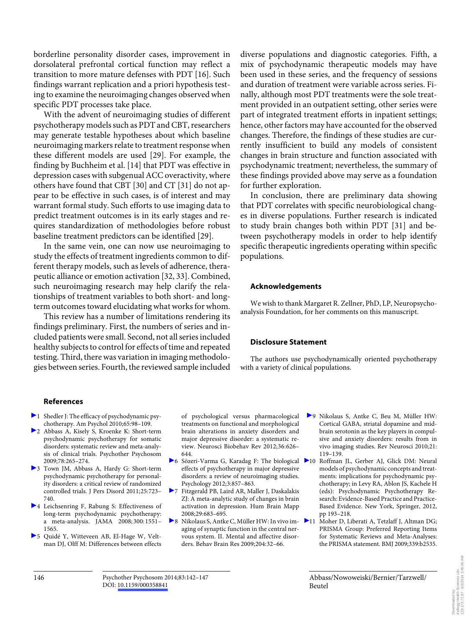borderline personality disorder cases, improvement in dorsolateral prefrontal cortical function may reflect a transition to more mature defenses with PDT [16]. Such findings warrant replication and a priori hypothesis testing to examine the neuroimaging changes observed when specific PDT processes take place.

 With the advent of neuroimaging studies of different psychotherapy models such as PDT and CBT, researchers may generate testable hypotheses about which baseline neuroimaging markers relate to treatment response when these different models are used [29]. For example, the finding by Buchheim et al. [14] that PDT was effective in depression cases with subgenual ACC overactivity, where others have found that CBT [30] and CT [31] do not appear to be effective in such cases, is of interest and may warrant formal study. Such efforts to use imaging data to predict treatment outcomes is in its early stages and requires standardization of methodologies before robust baseline treatment predictors can be identified [29] .

 In the same vein, one can now use neuroimaging to study the effects of treatment ingredients common to different therapy models, such as levels of adherence, therapeutic alliance or emotion activation [32, 33] . Combined, such neuroimaging research may help clarify the relationships of treatment variables to both short- and longterm outcomes toward elucidating what works for whom.

 This review has a number of limitations rendering its findings preliminary. First, the numbers of series and included patients were small. Second, not all series included healthy subjects to control for effects of time and repeated testing. Third, there was variation in imaging methodologies between series. Fourth, the reviewed sample included diverse populations and diagnostic categories. Fifth, a mix of psychodynamic therapeutic models may have been used in these series, and the frequency of sessions and duration of treatment were variable across series. Finally, although most PDT treatments were the sole treatment provided in an outpatient setting, other series were part of integrated treatment efforts in inpatient settings; hence, other factors may have accounted for the observed changes. Therefore, the findings of these studies are currently insufficient to build any models of consistent changes in brain structure and function associated with psychodynamic treatment; nevertheless, the summary of these findings provided above may serve as a foundation for further exploration.

 In conclusion, there are preliminary data showing that PDT correlates with specific neurobiological changes in diverse populations. Further research is indicated to study brain changes both within PDT [31] and between psychotherapy models in order to help identify specific therapeutic ingredients operating within specific populations.

#### **Acknowledgements**

 We wish to thank Margaret R. Zellner, PhD, LP, Neuropsychoanalysis Foundation, for her comments on this manuscript.

#### **Disclosure Statement**

 The authors use psychodynamically oriented psychotherapy with a variety of clinical populations.

- 1 Shedler J: The efficacy of psychodynamic psychotherapy. Am Psychol 2010;65:98–109.
- 2 Abbass A, Kisely S, Kroenke K: Short-term psychodynamic psychotherapy for somatic disorders: systematic review and meta-analysis of clinical trials. Psychother Psychosom 2009;78:265–274.
- 3 Town JM, Abbass A, Hardy G: Short-term psychodynamic psychotherapy for personality disorders: a critical review of randomized controlled trials. J Pers Disord 2011;25:723– 740.
- 4 Leichsenring F, Rabung S: Effectiveness of long-term psychodynamic psychotherapy: a meta-analysis. JAMA 2008; 300: 1551– 1565.
- 5 Quidé Y, Witteveen AB, El-Hage W, Veltman DJ, Olff M: Differences between effects

of psychological versus pharmacological treatments on functional and morphological brain alterations in anxiety disorders and major depressive disorder: a systematic review. Neurosci Biobehav Rev 2012;36:626– 644.

- ▶ 6 Sözeri-Varma G, Karadag F: The biological ▶ 10 effects of psychotherapy in major depressive disorders: a review of neuroimaging studies. Psychology 2012;3:857–863.
- 7 Fitzgerald PB, Laird AR, Maller J, Daskalakis ZJ: A meta-analytic study of changes in brain activation in depression. Hum Brain Mapp 2008;29:683–695.
- 8 Nikolaus S, Antke C, Müller HW: In vivo imaging of synaptic function in the central nervous system. II. Mental and affective disorders. Behav Brain Res 2009;204:32–66.
- 9 Nikolaus S, Antke C, Beu M, Müller HW: Cortical GABA, striatal dopamine and midbrain serotonin as the key players in compulsive and anxiety disorders: results from in vivo imaging studies. Rev Neurosci 2010;21: 119–139.
	- Roffman JL, Gerber AJ, Glick DM: Neural models of psychodynamic concepts and treatments: implications for psychodynamic psychotherapy; in Levy RA, Ablon JS, Kachele H (eds): Psychodynamic Psychotherapy Research: Evidence-Based Practice and Practice-Based Evidence. New York, Springer, 2012, pp 193–218.
- 11 Moher D, Liberati A, Tetzlaff J, Altman DG; PRISMA Group: Preferred Reporting Items for Systematic Reviews and Meta-Analyses: the PRISMA statement. BMJ 2009;339:b2535.